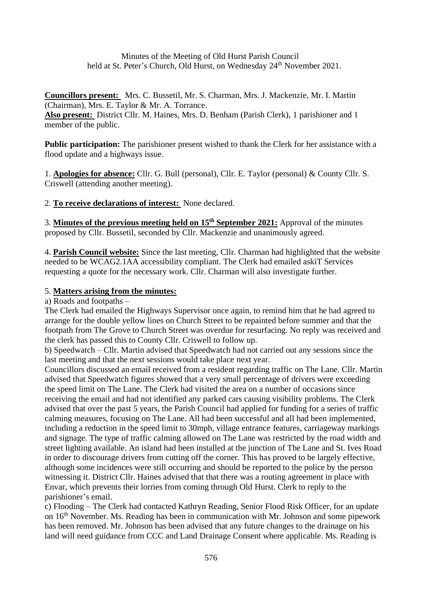Minutes of the Meeting of Old Hurst Parish Council held at St. Peter's Church, Old Hurst, on Wednesday 24<sup>th</sup> November 2021.

**Councillors present:** Mrs. C. Bussetil, Mr. S. Charman, Mrs. J. Mackenzie, Mr. I. Martin (Chairman), Mrs. E. Taylor & Mr. A. Torrance.

**Also present:** District Cllr. M. Haines, Mrs. D. Benham (Parish Clerk), 1 parishioner and 1 member of the public.

**Public participation:** The parishioner present wished to thank the Clerk for her assistance with a flood update and a highways issue.

1. **Apologies for absence:** Cllr. G. Bull (personal), Cllr. E. Taylor (personal) & County Cllr. S. Criswell (attending another meeting).

# 2. **To receive declarations of interest:** None declared.

3. **Minutes of the previous meeting held on 15th September 2021:** Approval of the minutes proposed by Cllr. Bussetil, seconded by Cllr. Mackenzie and unanimously agreed.

4. **Parish Council website:** Since the last meeting, Cllr. Charman had highlighted that the website needed to be WCAG2.1AA accessibility compliant. The Clerk had emailed askiT Services requesting a quote for the necessary work. Cllr. Charman will also investigate further.

## 5. **Matters arising from the minutes:**

a) Roads and footpaths –

The Clerk had emailed the Highways Supervisor once again, to remind him that he had agreed to arrange for the double yellow lines on Church Street to be repainted before summer and that the footpath from The Grove to Church Street was overdue for resurfacing. No reply was received and the clerk has passed this to County Cllr. Criswell to follow up.

b) Speedwatch – Cllr. Martin advised that Speedwatch had not carried out any sessions since the last meeting and that the next sessions would take place next year.

Councillors discussed an email received from a resident regarding traffic on The Lane. Cllr. Martin advised that Speedwatch figures showed that a very small percentage of drivers were exceeding the speed limit on The Lane. The Clerk had visited the area on a number of occasions since receiving the email and had not identified any parked cars causing visibility problems. The Clerk advised that over the past 5 years, the Parish Council had applied for funding for a series of traffic calming measures, focusing on The Lane. All had been successful and all had been implemented, including a reduction in the speed limit to 30mph, village entrance features, carriageway markings and signage. The type of traffic calming allowed on The Lane was restricted by the road width and street lighting available. An island had been installed at the junction of The Lane and St. Ives Road in order to discourage drivers from cutting off the corner. This has proved to be largely effective, although some incidences were still occurring and should be reported to the police by the person witnessing it. District Cllr. Haines advised that that there was a routing agreement in place with Envar, which prevents their lorries from coming through Old Hurst. Clerk to reply to the parishioner's email.

c) Flooding – The Clerk had contacted Kathryn Reading, Senior Flood Risk Officer, for an update on  $16<sup>th</sup>$  November. Ms. Reading has been in communication with Mr. Johnson and some pipework has been removed. Mr. Johnson has been advised that any future changes to the drainage on his land will need guidance from CCC and Land Drainage Consent where applicable. Ms. Reading is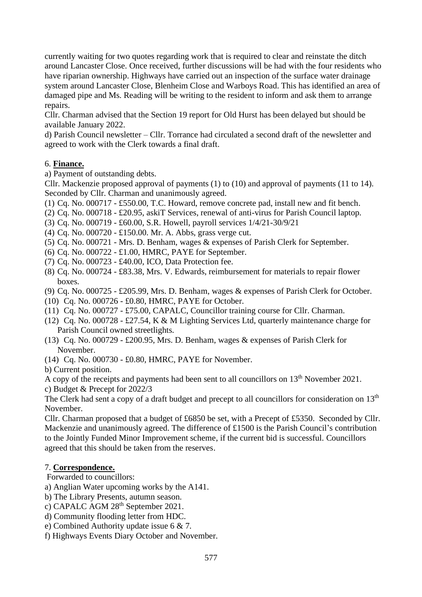currently waiting for two quotes regarding work that is required to clear and reinstate the ditch around Lancaster Close. Once received, further discussions will be had with the four residents who have riparian ownership. Highways have carried out an inspection of the surface water drainage system around Lancaster Close, Blenheim Close and Warboys Road. This has identified an area of damaged pipe and Ms. Reading will be writing to the resident to inform and ask them to arrange repairs.

Cllr. Charman advised that the Section 19 report for Old Hurst has been delayed but should be available January 2022.

d) Parish Council newsletter – Cllr. Torrance had circulated a second draft of the newsletter and agreed to work with the Clerk towards a final draft.

### 6. **Finance.**

a) Payment of outstanding debts.

Cllr. Mackenzie proposed approval of payments (1) to (10) and approval of payments (11 to 14). Seconded by Cllr. Charman and unanimously agreed.

(1) Cq. No. 000717 - £550.00, T.C. Howard, remove concrete pad, install new and fit bench.

(2) Cq. No. 000718 - £20.95, askiT Services, renewal of anti-virus for Parish Council laptop.

- (3) Cq. No. 000719 £60.00, S.R. Howell, payroll services 1/4/21-30/9/21
- (4) Cq. No. 000720 £150.00. Mr. A. Abbs, grass verge cut.
- (5) Cq. No. 000721 Mrs. D. Benham, wages & expenses of Parish Clerk for September.
- (6) Cq. No. 000722 £1.00, HMRC, PAYE for September.
- (7) Cq. No. 000723 £40.00, ICO, Data Protection fee.
- (8) Cq. No. 000724 £83.38, Mrs. V. Edwards, reimbursement for materials to repair flower boxes.
- (9) Cq. No. 000725 £205.99, Mrs. D. Benham, wages & expenses of Parish Clerk for October.
- (10) Cq. No. 000726 £0.80, HMRC, PAYE for October.
- (11) Cq. No. 000727 £75.00, CAPALC, Councillor training course for Cllr. Charman.
- (12) Cq. No. 000728 £27.54, K & M Lighting Services Ltd, quarterly maintenance charge for Parish Council owned streetlights.
- (13) Cq. No. 000729 £200.95, Mrs. D. Benham, wages & expenses of Parish Clerk for November.
- (14) Cq. No. 000730 £0.80, HMRC, PAYE for November.

b) Current position.

A copy of the receipts and payments had been sent to all councillors on  $13<sup>th</sup>$  November 2021.

c) Budget & Precept for 2022/3

The Clerk had sent a copy of a draft budget and precept to all councillors for consideration on 13<sup>th</sup> November.

Cllr. Charman proposed that a budget of £6850 be set, with a Precept of £5350. Seconded by Cllr. Mackenzie and unanimously agreed. The difference of £1500 is the Parish Council's contribution to the Jointly Funded Minor Improvement scheme, if the current bid is successful. Councillors agreed that this should be taken from the reserves.

### 7. **Correspondence.**

Forwarded to councillors:

a) Anglian Water upcoming works by the A141.

- b) The Library Presents, autumn season.
- c) CAPALC AGM 28<sup>th</sup> September 2021.
- d) Community flooding letter from HDC.
- e) Combined Authority update issue 6 & 7.
- f) Highways Events Diary October and November.